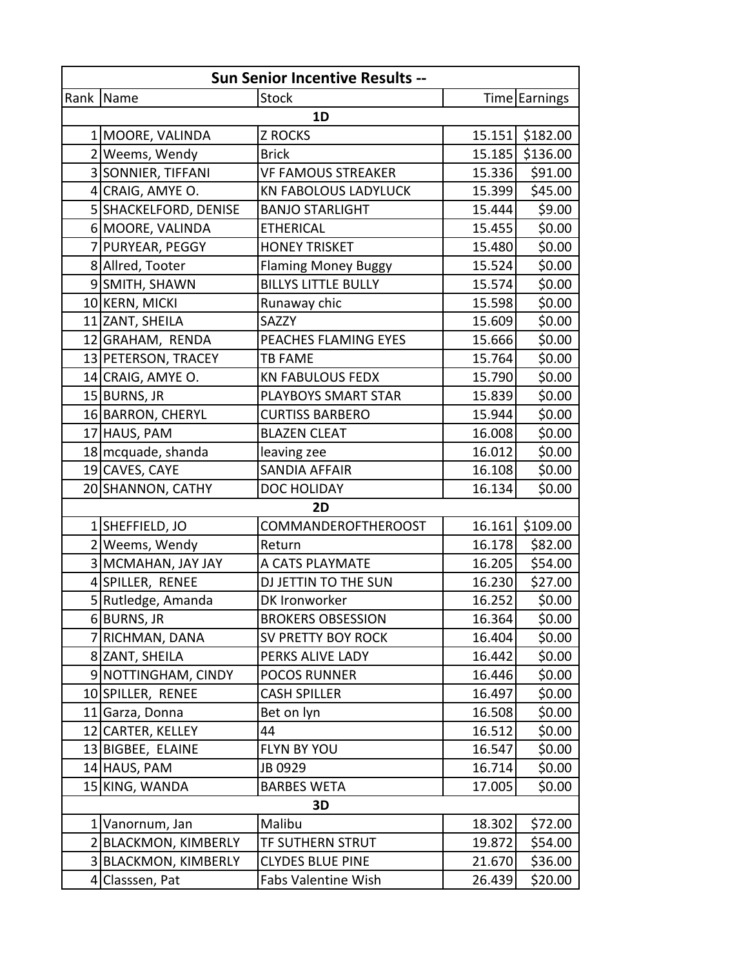| <b>Sun Senior Incentive Results --</b> |                       |                             |        |                 |  |  |  |
|----------------------------------------|-----------------------|-----------------------------|--------|-----------------|--|--|--|
|                                        | Rank Name             | <b>Stock</b>                |        | Time Earnings   |  |  |  |
| 1D                                     |                       |                             |        |                 |  |  |  |
|                                        | 1 MOORE, VALINDA      | <b>Z ROCKS</b>              |        | 15.151 \$182.00 |  |  |  |
|                                        | 2 Weems, Wendy        | <b>Brick</b>                | 15.185 | \$136.00        |  |  |  |
|                                        | 3 SONNIER, TIFFANI    | <b>VF FAMOUS STREAKER</b>   | 15.336 | \$91.00         |  |  |  |
|                                        | 4 CRAIG, AMYE O.      | <b>KN FABOLOUS LADYLUCK</b> | 15.399 | \$45.00         |  |  |  |
|                                        | 5 SHACKELFORD, DENISE | <b>BANJO STARLIGHT</b>      | 15.444 | \$9.00          |  |  |  |
|                                        | 6 MOORE, VALINDA      | <b>ETHERICAL</b>            | 15.455 | \$0.00          |  |  |  |
|                                        | 7 PURYEAR, PEGGY      | <b>HONEY TRISKET</b>        | 15.480 | \$0.00          |  |  |  |
|                                        | 8 Allred, Tooter      | <b>Flaming Money Buggy</b>  | 15.524 | \$0.00          |  |  |  |
|                                        | 9 SMITH, SHAWN        | <b>BILLYS LITTLE BULLY</b>  | 15.574 | \$0.00          |  |  |  |
|                                        | 10 KERN, MICKI        | Runaway chic                | 15.598 | \$0.00          |  |  |  |
|                                        | 11 ZANT, SHEILA       | <b>SAZZY</b>                | 15.609 | \$0.00          |  |  |  |
|                                        | 12 GRAHAM, RENDA      | PEACHES FLAMING EYES        | 15.666 | \$0.00          |  |  |  |
|                                        | 13 PETERSON, TRACEY   | <b>TB FAME</b>              | 15.764 | \$0.00          |  |  |  |
|                                        | 14 CRAIG, AMYE O.     | <b>KN FABULOUS FEDX</b>     | 15.790 | \$0.00          |  |  |  |
|                                        | 15 BURNS, JR          | PLAYBOYS SMART STAR         | 15.839 | \$0.00          |  |  |  |
|                                        | 16 BARRON, CHERYL     | <b>CURTISS BARBERO</b>      | 15.944 | \$0.00          |  |  |  |
|                                        | 17 HAUS, PAM          | <b>BLAZEN CLEAT</b>         | 16.008 | \$0.00          |  |  |  |
|                                        | 18 mcquade, shanda    | leaving zee                 | 16.012 | \$0.00          |  |  |  |
|                                        | 19 CAVES, CAYE        | <b>SANDIA AFFAIR</b>        | 16.108 | \$0.00          |  |  |  |
|                                        | 20 SHANNON, CATHY     | DOC HOLIDAY                 | 16.134 | \$0.00          |  |  |  |
|                                        |                       | 2D                          |        |                 |  |  |  |
|                                        | 1SHEFFIELD, JO        | COMMANDEROFTHEROOST         | 16.161 | \$109.00        |  |  |  |
|                                        | 2 Weems, Wendy        | Return                      | 16.178 | \$82.00         |  |  |  |
|                                        | 3 MCMAHAN, JAY JAY    | A CATS PLAYMATE             | 16.205 | \$54.00         |  |  |  |
|                                        | 4 SPILLER, RENEE      | DJ JETTIN TO THE SUN        | 16.230 | \$27.00         |  |  |  |
|                                        | 5 Rutledge, Amanda    | DK Ironworker               | 16.252 | \$0.00          |  |  |  |
|                                        | 6BURNS, JR            | <b>BROKERS OBSESSION</b>    | 16.364 | \$0.00          |  |  |  |
| 71                                     | RICHMAN, DANA         | SV PRETTY BOY ROCK          | 16.404 | \$0.00          |  |  |  |
|                                        | 8 ZANT, SHEILA        | PERKS ALIVE LADY            | 16.442 | \$0.00          |  |  |  |
|                                        | 9 NOTTINGHAM, CINDY   | <b>POCOS RUNNER</b>         | 16.446 | \$0.00          |  |  |  |
|                                        | 10 SPILLER, RENEE     | <b>CASH SPILLER</b>         | 16.497 | \$0.00          |  |  |  |
|                                        | 11 Garza, Donna       | Bet on lyn                  | 16.508 | \$0.00          |  |  |  |
|                                        | 12 CARTER, KELLEY     | 44                          | 16.512 | \$0.00          |  |  |  |
|                                        | 13 BIGBEE, ELAINE     | FLYN BY YOU                 | 16.547 | \$0.00          |  |  |  |
|                                        | 14 HAUS, PAM          | JB 0929                     | 16.714 | \$0.00          |  |  |  |
|                                        | 15 KING, WANDA        | <b>BARBES WETA</b>          | 17.005 | \$0.00          |  |  |  |
| 3D                                     |                       |                             |        |                 |  |  |  |
|                                        | 1 Vanornum, Jan       | Malibu                      | 18.302 | \$72.00         |  |  |  |
|                                        | 2 BLACKMON, KIMBERLY  | TF SUTHERN STRUT            | 19.872 | \$54.00         |  |  |  |
|                                        | 3 BLACKMON, KIMBERLY  | <b>CLYDES BLUE PINE</b>     | 21.670 | \$36.00         |  |  |  |
|                                        | 4 Classsen, Pat       | <b>Fabs Valentine Wish</b>  | 26.439 | \$20.00         |  |  |  |